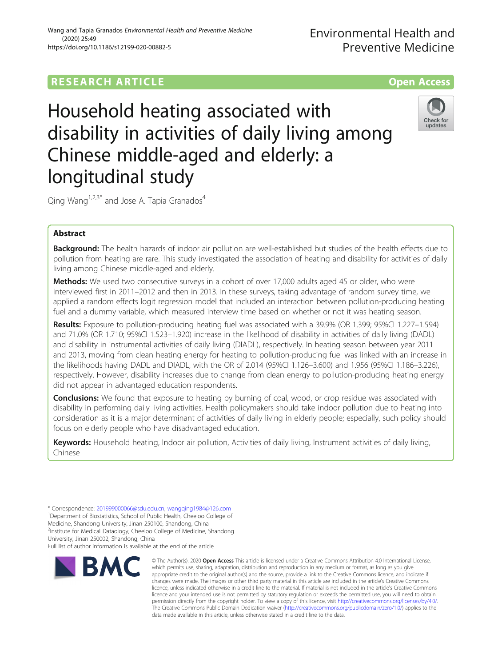# **RESEARCH ARTICLE Example 2014 12:30 The Community Community Community Community Community Community Community**



Household heating associated with disability in activities of daily living among Chinese middle-aged and elderly: a longitudinal study



Qing Wang<sup>1,2,3\*</sup> and Jose A. Tapia Granados<sup>4</sup>

# Abstract

Background: The health hazards of indoor air pollution are well-established but studies of the health effects due to pollution from heating are rare. This study investigated the association of heating and disability for activities of daily living among Chinese middle-aged and elderly.

Methods: We used two consecutive surveys in a cohort of over 17,000 adults aged 45 or older, who were interviewed first in 2011–2012 and then in 2013. In these surveys, taking advantage of random survey time, we applied a random effects logit regression model that included an interaction between pollution-producing heating fuel and a dummy variable, which measured interview time based on whether or not it was heating season.

Results: Exposure to pollution-producing heating fuel was associated with a 39.9% (OR 1.399; 95%CI 1.227–1.594) and 71.0% (OR 1.710; 95%CI 1.523–1.920) increase in the likelihood of disability in activities of daily living (DADL) and disability in instrumental activities of daily living (DIADL), respectively. In heating season between year 2011 and 2013, moving from clean heating energy for heating to pollution-producing fuel was linked with an increase in the likelihoods having DADL and DIADL, with the OR of 2.014 (95%CI 1.126–3.600) and 1.956 (95%CI 1.186–3.226), respectively. However, disability increases due to change from clean energy to pollution-producing heating energy did not appear in advantaged education respondents.

**Conclusions:** We found that exposure to heating by burning of coal, wood, or crop residue was associated with disability in performing daily living activities. Health policymakers should take indoor pollution due to heating into consideration as it is a major determinant of activities of daily living in elderly people; especially, such policy should focus on elderly people who have disadvantaged education.

Keywords: Household heating, Indoor air pollution, Activities of daily living, Instrument activities of daily living, Chinese

University, Jinan 250002, Shandong, China

Full list of author information is available at the end of the article



<sup>©</sup> The Author(s), 2020 **Open Access** This article is licensed under a Creative Commons Attribution 4.0 International License, which permits use, sharing, adaptation, distribution and reproduction in any medium or format, as long as you give appropriate credit to the original author(s) and the source, provide a link to the Creative Commons licence, and indicate if changes were made. The images or other third party material in this article are included in the article's Creative Commons licence, unless indicated otherwise in a credit line to the material. If material is not included in the article's Creative Commons licence and your intended use is not permitted by statutory regulation or exceeds the permitted use, you will need to obtain permission directly from the copyright holder. To view a copy of this licence, visit [http://creativecommons.org/licenses/by/4.0/.](http://creativecommons.org/licenses/by/4.0/) The Creative Commons Public Domain Dedication waiver [\(http://creativecommons.org/publicdomain/zero/1.0/](http://creativecommons.org/publicdomain/zero/1.0/)) applies to the data made available in this article, unless otherwise stated in a credit line to the data.

<sup>\*</sup> Correspondence: [201999000066@sdu.edu.cn](mailto:201999000066@sdu.edu.cn); [wangqing1984@126.com](mailto:wangqing1984@126.com) <sup>1</sup>

<sup>&</sup>lt;sup>1</sup>Department of Biostatistics, School of Public Health, Cheeloo College of Medicine, Shandong University, Jinan 250100, Shandong, China <sup>2</sup>Institute for Medical Dataology, Cheeloo College of Medicine, Shandong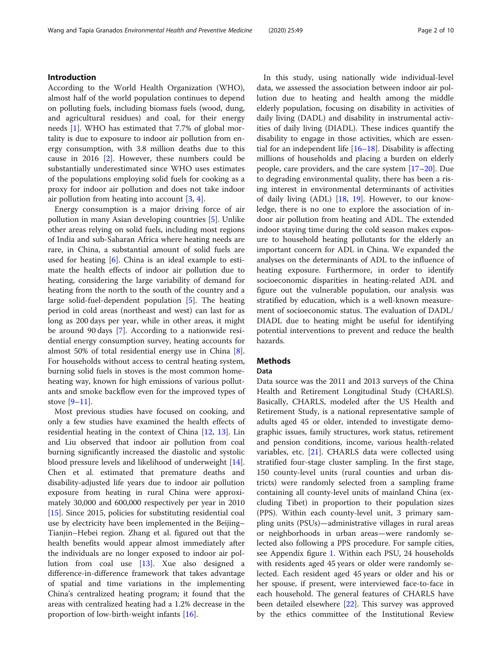# Introduction

According to the World Health Organization (WHO), almost half of the world population continues to depend on polluting fuels, including biomass fuels (wood, dung, and agricultural residues) and coal, for their energy needs [[1\]](#page-8-0). WHO has estimated that 7.7% of global mortality is due to exposure to indoor air pollution from energy consumption, with 3.8 million deaths due to this cause in 2016 [[2\]](#page-8-0). However, these numbers could be substantially underestimated since WHO uses estimates of the populations employing solid fuels for cooking as a proxy for indoor air pollution and does not take indoor air pollution from heating into account [\[3](#page-8-0), [4](#page-8-0)].

Energy consumption is a major driving force of air pollution in many Asian developing countries [\[5](#page-8-0)]. Unlike other areas relying on solid fuels, including most regions of India and sub-Saharan Africa where heating needs are rare, in China, a substantial amount of solid fuels are used for heating [\[6](#page-8-0)]. China is an ideal example to estimate the health effects of indoor air pollution due to heating, considering the large variability of demand for heating from the north to the south of the country and a large solid-fuel-dependent population [[5\]](#page-8-0). The heating period in cold areas (northeast and west) can last for as long as 200 days per year, while in other areas, it might be around 90 days [[7\]](#page-8-0). According to a nationwide residential energy consumption survey, heating accounts for almost 50% of total residential energy use in China [\[8](#page-8-0)]. For households without access to central heating system, burning solid fuels in stoves is the most common homeheating way, known for high emissions of various pollutants and smoke backflow even for the improved types of stove  $[9-11]$  $[9-11]$  $[9-11]$  $[9-11]$  $[9-11]$ .

Most previous studies have focused on cooking, and only a few studies have examined the health effects of residential heating in the context of China [\[12](#page-8-0), [13\]](#page-9-0). Lin and Liu observed that indoor air pollution from coal burning significantly increased the diastolic and systolic blood pressure levels and likelihood of underweight [\[14](#page-9-0)]. Chen et al. estimated that premature deaths and disability-adjusted life years due to indoor air pollution exposure from heating in rural China were approximately 30,000 and 600,000 respectively per year in 2010 [[15\]](#page-9-0). Since 2015, policies for substituting residential coal use by electricity have been implemented in the Beijing– Tianjin–Hebei region. Zhang et al. figured out that the health benefits would appear almost immediately after the individuals are no longer exposed to indoor air pollution from coal use [\[13](#page-9-0)]. Xue also designed a difference-in-difference framework that takes advantage of spatial and time variations in the implementing China's centralized heating program; it found that the areas with centralized heating had a 1.2% decrease in the proportion of low-birth-weight infants [\[16\]](#page-9-0).

In this study, using nationally wide individual-level data, we assessed the association between indoor air pollution due to heating and health among the middle elderly population, focusing on disability in activities of daily living (DADL) and disability in instrumental activities of daily living (DIADL). These indices quantify the disability to engage in those activities, which are essential for an independent life [[16](#page-9-0)–[18](#page-9-0)]. Disability is affecting millions of households and placing a burden on elderly people, care providers, and the care system [[17](#page-9-0)–[20](#page-9-0)]. Due to degrading environmental quality, there has been a rising interest in environmental determinants of activities of daily living (ADL) [[18](#page-9-0), [19\]](#page-9-0). However, to our knowledge, there is no one to explore the association of indoor air pollution from heating and ADL. The extended indoor staying time during the cold season makes exposure to household heating pollutants for the elderly an important concern for ADL in China. We expanded the analyses on the determinants of ADL to the influence of heating exposure. Furthermore, in order to identify socioeconomic disparities in heating-related ADL and figure out the vulnerable population, our analysis was stratified by education, which is a well-known measurement of socioeconomic status. The evaluation of DADL/ DIADL due to heating might be useful for identifying potential interventions to prevent and reduce the health hazards.

# **Methods**

### Data

Data source was the 2011 and 2013 surveys of the China Health and Retirement Longitudinal Study (CHARLS). Basically, CHARLS, modeled after the US Health and Retirement Study, is a national representative sample of adults aged 45 or older, intended to investigate demographic issues, family structures, work status, retirement and pension conditions, income, various health-related variables, etc. [[21](#page-9-0)]. CHARLS data were collected using stratified four-stage cluster sampling. In the first stage, 150 county-level units (rural counties and urban districts) were randomly selected from a sampling frame containing all county-level units of mainland China (excluding Tibet) in proportion to their population sizes (PPS). Within each county-level unit, 3 primary sampling units (PSUs)—administrative villages in rural areas or neighborhoods in urban areas—were randomly selected also following a PPS procedure. For sample cities, see Appendix figure [1.](#page-8-0) Within each PSU, 24 households with residents aged 45 years or older were randomly selected. Each resident aged 45 years or older and his or her spouse, if present, were interviewed face-to-face in each household. The general features of CHARLS have been detailed elsewhere [[22](#page-9-0)]. This survey was approved by the ethics committee of the Institutional Review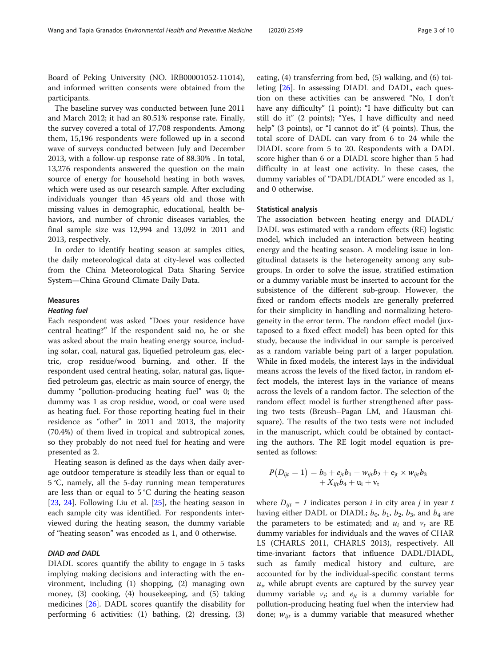Board of Peking University (NO. IRB00001052-11014), and informed written consents were obtained from the participants.

The baseline survey was conducted between June 2011 and March 2012; it had an 80.51% response rate. Finally, the survey covered a total of 17,708 respondents. Among them, 15,196 respondents were followed up in a second wave of surveys conducted between July and December 2013, with a follow-up response rate of 88.30% . In total, 13,276 respondents answered the question on the main source of energy for household heating in both waves, which were used as our research sample. After excluding individuals younger than 45 years old and those with missing values in demographic, educational, health behaviors, and number of chronic diseases variables, the final sample size was 12,994 and 13,092 in 2011 and 2013, respectively.

In order to identify heating season at samples cities, the daily meteorological data at city-level was collected from the China Meteorological Data Sharing Service System—China Ground Climate Daily Data.

### Measures

#### Heating fuel

Each respondent was asked "Does your residence have central heating?" If the respondent said no, he or she was asked about the main heating energy source, including solar, coal, natural gas, liquefied petroleum gas, electric, crop residue/wood burning, and other. If the respondent used central heating, solar, natural gas, liquefied petroleum gas, electric as main source of energy, the dummy "pollution-producing heating fuel" was 0; the dummy was 1 as crop residue, wood, or coal were used as heating fuel. For those reporting heating fuel in their residence as "other" in 2011 and 2013, the majority (70.4%) of them lived in tropical and subtropical zones, so they probably do not need fuel for heating and were presented as 2.

Heating season is defined as the days when daily average outdoor temperature is steadily less than or equal to 5 °C, namely, all the 5-day running mean temperatures are less than or equal to 5 °C during the heating season [[23,](#page-9-0) [24](#page-9-0)]. Following Liu et al. [[25\]](#page-9-0), the heating season in each sample city was identified. For respondents interviewed during the heating season, the dummy variable of "heating season" was encoded as 1, and 0 otherwise.

# DIAD and DADL

DIADL scores quantify the ability to engage in 5 tasks implying making decisions and interacting with the environment, including (1) shopping, (2) managing own money, (3) cooking, (4) housekeeping, and (5) taking medicines [[26\]](#page-9-0). DADL scores quantify the disability for performing 6 activities: (1) bathing, (2) dressing, (3)

eating, (4) transferring from bed, (5) walking, and (6) toileting [[26\]](#page-9-0). In assessing DIADL and DADL, each question on these activities can be answered "No, I don't have any difficulty" (1 point); "I have difficulty but can still do it" (2 points); "Yes, I have difficulty and need help" (3 points), or "I cannot do it" (4 points). Thus, the total score of DADL can vary from 6 to 24 while the DIADL score from 5 to 20. Respondents with a DADL score higher than 6 or a DIADL score higher than 5 had difficulty in at least one activity. In these cases, the dummy variables of "DADL/DIADL" were encoded as 1, and 0 otherwise.

## Statistical analysis

The association between heating energy and DIADL/ DADL was estimated with a random effects (RE) logistic model, which included an interaction between heating energy and the heating season. A modeling issue in longitudinal datasets is the heterogeneity among any subgroups. In order to solve the issue, stratified estimation or a dummy variable must be inserted to account for the subsistence of the different sub-group. However, the fixed or random effects models are generally preferred for their simplicity in handling and normalizing heterogeneity in the error term. The random effect model (juxtaposed to a fixed effect model) has been opted for this study, because the individual in our sample is perceived as a random variable being part of a larger population. While in fixed models, the interest lays in the individual means across the levels of the fixed factor, in random effect models, the interest lays in the variance of means across the levels of a random factor. The selection of the random effect model is further strengthened after passing two tests (Breush–Pagan LM, and Hausman chisquare). The results of the two tests were not included in the manuscript, which could be obtained by contacting the authors. The RE logit model equation is presented as follows:

$$
P(D_{ijt} = 1) = b_0 + e_{jt}b_1 + w_{ijt}b_2 + e_{jt} \times w_{ijt}b_3 + X_{ijt}b_4 + u_i + v_t
$$

where  $D_{ijt} = 1$  indicates person *i* in city area *j* in year *t* having either DADL or DIADL;  $b_0$ ,  $b_1$ ,  $b_2$ ,  $b_3$ , and  $b_4$  are the parameters to be estimated; and  $u_i$  and  $v_t$  are RE dummy variables for individuals and the waves of CHAR LS (CHARLS 2011, CHARLS 2013), respectively. All time-invariant factors that influence DADL/DIADL, such as family medical history and culture, are accounted for by the individual-specific constant terms  $u_i$ , while abrupt events are captured by the survey year dummy variable  $v_i$ ; and  $e_{it}$  is a dummy variable for pollution-producing heating fuel when the interview had done;  $w_{ijt}$  is a dummy variable that measured whether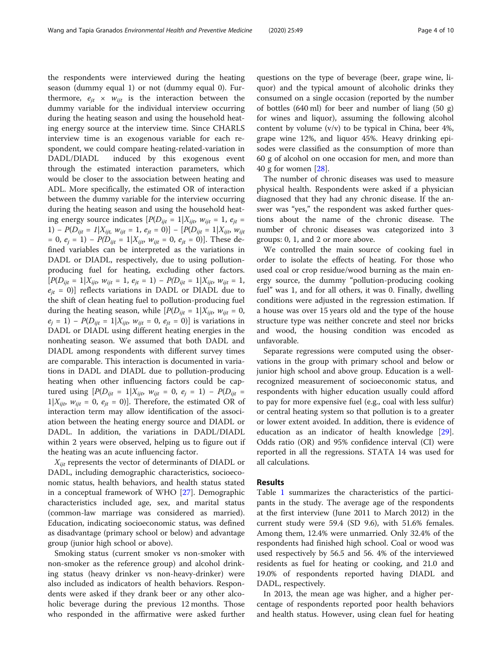the respondents were interviewed during the heating season (dummy equal 1) or not (dummy equal 0). Furthermore,  $e_{it} \times w_{it}$  is the interaction between the dummy variable for the individual interview occurring during the heating season and using the household heating energy source at the interview time. Since CHARLS interview time is an exogenous variable for each respondent, we could compare heating-related-variation in DADL/DIADL induced by this exogenous event through the estimated interaction parameters, which would be closer to the association between heating and ADL. More specifically, the estimated OR of interaction between the dummy variable for the interview occurring during the heating season and using the household heating energy source indicates  $[P(D_{iit} = 1 | X_{iit}, w_{iit} = 1, e_{it} =$ 1) –  $P(D_{ijt} = 1 | X_{ijt}, w_{ijt} = 1, e_{jt} = 0)$ ] –  $[P(D_{ijt} = 1 | X_{ijt}, w_{ijt}$ = 0,  $e_i$  = 1) –  $P(D_{iit} = 1 | X_{iit}, w_{iit} = 0, e_{it} = 0)$ . These defined variables can be interpreted as the variations in DADL or DIADL, respectively, due to using pollutionproducing fuel for heating, excluding other factors.  $[P(D_{ijt} = 1 | X_{ijt}, w_{ijt} = 1, e_{jt} = 1) - P(D_{ijt} = 1 | X_{ijt}, w_{ijt} = 1,$  $e_{it}$  = 0)] reflects variations in DADL or DIADL due to the shift of clean heating fuel to pollution-producing fuel during the heating season, while  $[P(D_{iit} = 1 | X_{iit}, w_{iit} = 0,$  $e_j = 1$ ) –  $P(D_{ijt} = 1 | X_{ijt}, w_{ijt} = 0, e_{jt} = 0)$ ] is variations in DADL or DIADL using different heating energies in the nonheating season. We assumed that both DADL and DIADL among respondents with different survey times are comparable. This interaction is documented in variations in DADL and DIADL due to pollution-producing heating when other influencing factors could be captured using  $[P(D_{ijt} = 1 | X_{ijt}, w_{ijt} = 0, e_j = 1) - P(D_{ijt} = 1)$  $1|X_{iit}$ ,  $w_{iit} = 0$ ,  $e_{it} = 0$ ]. Therefore, the estimated OR of interaction term may allow identification of the association between the heating energy source and DIADL or DADL. In addition, the variations in DADL/DIADL within 2 years were observed, helping us to figure out if the heating was an acute influencing factor.

 $X_{iit}$  represents the vector of determinants of DIADL or DADL, including demographic characteristics, socioeconomic status, health behaviors, and health status stated in a conceptual framework of WHO [[27](#page-9-0)]. Demographic characteristics included age, sex, and marital status (common-law marriage was considered as married). Education, indicating socioeconomic status, was defined as disadvantage (primary school or below) and advantage group (junior high school or above).

Smoking status (current smoker vs non-smoker with non-smoker as the reference group) and alcohol drinking status (heavy drinker vs non-heavy-drinker) were also included as indicators of health behaviors. Respondents were asked if they drank beer or any other alcoholic beverage during the previous 12 months. Those who responded in the affirmative were asked further

questions on the type of beverage (beer, grape wine, liquor) and the typical amount of alcoholic drinks they consumed on a single occasion (reported by the number of bottles (640 ml) for beer and number of liang (50 g) for wines and liquor), assuming the following alcohol content by volume  $(v/v)$  to be typical in China, beer 4%, grape wine 12%, and liquor 45%. Heavy drinking episodes were classified as the consumption of more than 60 g of alcohol on one occasion for men, and more than 40 g for women [[28\]](#page-9-0).

The number of chronic diseases was used to measure physical health. Respondents were asked if a physician diagnosed that they had any chronic disease. If the answer was "yes," the respondent was asked further questions about the name of the chronic disease. The number of chronic diseases was categorized into 3 groups: 0, 1, and 2 or more above.

We controlled the main source of cooking fuel in order to isolate the effects of heating. For those who used coal or crop residue/wood burning as the main energy source, the dummy "pollution-producing cooking fuel" was 1, and for all others, it was 0. Finally, dwelling conditions were adjusted in the regression estimation. If a house was over 15 years old and the type of the house structure type was neither concrete and steel nor bricks and wood, the housing condition was encoded as unfavorable.

Separate regressions were computed using the observations in the group with primary school and below or junior high school and above group. Education is a wellrecognized measurement of socioeconomic status, and respondents with higher education usually could afford to pay for more expensive fuel (e.g., coal with less sulfur) or central heating system so that pollution is to a greater or lower extent avoided. In addition, there is evidence of education as an indicator of health knowledge [\[29](#page-9-0)]. Odds ratio (OR) and 95% confidence interval (CI) were reported in all the regressions. STATA 14 was used for all calculations.

# Results

Table [1](#page-4-0) summarizes the characteristics of the participants in the study. The average age of the respondents at the first interview (June 2011 to March 2012) in the current study were 59.4 (SD 9.6), with 51.6% females. Among them, 12.4% were unmarried. Only 32.4% of the respondents had finished high school. Coal or wood was used respectively by 56.5 and 56. 4% of the interviewed residents as fuel for heating or cooking, and 21.0 and 19.0% of respondents reported having DIADL and DADL, respectively.

In 2013, the mean age was higher, and a higher percentage of respondents reported poor health behaviors and health status. However, using clean fuel for heating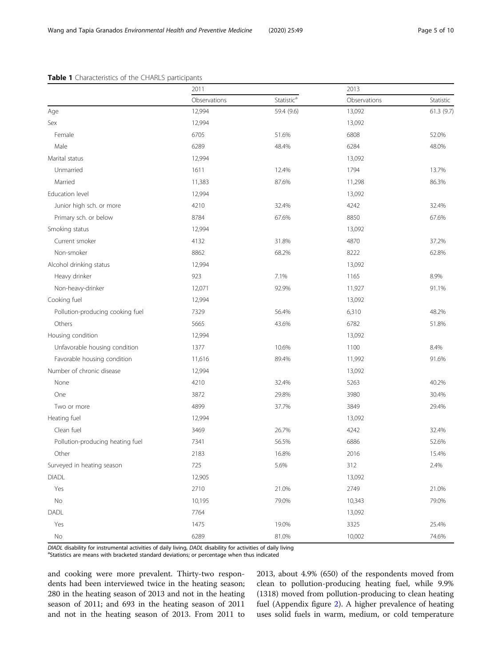|                                  | 2011         |                        | 2013         |            |
|----------------------------------|--------------|------------------------|--------------|------------|
|                                  | Observations | Statistic <sup>a</sup> | Observations | Statistic  |
| Age                              | 12,994       | 59.4 (9.6)             | 13,092       | 61.3 (9.7) |
| Sex                              | 12,994       |                        | 13,092       |            |
| Female                           | 6705         | 51.6%                  | 6808         | 52.0%      |
| Male                             | 6289         | 48.4%                  | 6284         | 48.0%      |
| Marital status                   | 12,994       |                        | 13,092       |            |
| Unmarried                        | 1611         | 12.4%                  | 1794         | 13.7%      |
| Married                          | 11,383       | 87.6%                  | 11,298       | 86.3%      |
| Education level                  | 12,994       |                        | 13,092       |            |
| Junior high sch. or more         | 4210         | 32.4%                  | 4242         | 32.4%      |
| Primary sch. or below            | 8784         | 67.6%                  | 8850         | 67.6%      |
| Smoking status                   | 12,994       |                        | 13,092       |            |
| Current smoker                   | 4132         | 31.8%                  | 4870         | 37.2%      |
| Non-smoker                       | 8862         | 68.2%                  | 8222         | 62.8%      |
| Alcohol drinking status          | 12,994       |                        | 13,092       |            |
| Heavy drinker                    | 923          | 7.1%                   | 1165         | 8.9%       |
| Non-heavy-drinker                | 12,071       | 92.9%                  | 11,927       | 91.1%      |
| Cooking fuel                     | 12,994       |                        | 13,092       |            |
| Pollution-producing cooking fuel | 7329         | 56.4%                  | 6,310        | 48.2%      |
| Others                           | 5665         | 43.6%                  | 6782         | 51.8%      |
| Housing condition                | 12,994       |                        | 13,092       |            |
| Unfavorable housing condition    | 1377         | 10.6%                  | 1100         | 8.4%       |
| Favorable housing condition      | 11,616       | 89.4%                  | 11,992       | 91.6%      |
| Number of chronic disease        | 12,994       |                        | 13,092       |            |
| None                             | 4210         | 32.4%                  | 5263         | 40.2%      |
| One                              | 3872         | 29.8%                  | 3980         | 30.4%      |
| Two or more                      | 4899         | 37.7%                  | 3849         | 29.4%      |
| Heating fuel                     | 12,994       |                        | 13,092       |            |
| Clean fuel                       | 3469         | 26.7%                  | 4242         | 32.4%      |
| Pollution-producing heating fuel | 7341         | 56.5%                  | 6886         | 52.6%      |
| Other                            | 2183         | 16.8%                  | 2016         | 15.4%      |
| Surveyed in heating season       | 725          | 5.6%                   | 312          | 2.4%       |
| <b>DIADL</b>                     | 12,905       |                        | 13,092       |            |
| Yes                              | 2710         | 21.0%                  | 2749         | 21.0%      |
| No                               | 10,195       | 79.0%                  | 10,343       | 79.0%      |
| DADL                             | 7764         |                        | 13,092       |            |
| Yes                              | 1475         | 19.0%                  | 3325         | 25.4%      |
| $\rm No$                         | 6289         | 81.0%                  | 10,002       | 74.6%      |

# <span id="page-4-0"></span>Table 1 Characteristics of the CHARLS participants

DIADL disability for instrumental activities of daily living, DADL disability for activities of daily living

<sup>a</sup>Statistics are means with bracketed standard deviations; or percentage when thus indicated

and cooking were more prevalent. Thirty-two respondents had been interviewed twice in the heating season; 280 in the heating season of 2013 and not in the heating season of 2011; and 693 in the heating season of 2011 and not in the heating season of 2013. From 2011 to 2013, about 4.9% (650) of the respondents moved from clean to pollution-producing heating fuel, while 9.9% (1318) moved from pollution-producing to clean heating fuel (Appendix figure [2\)](#page-8-0). A higher prevalence of heating uses solid fuels in warm, medium, or cold temperature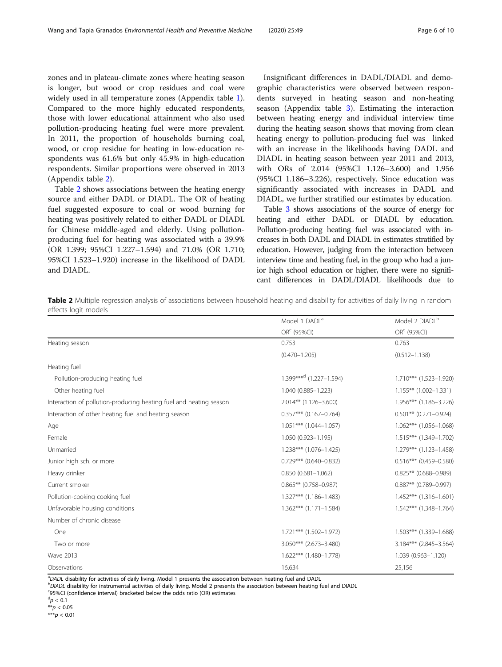<span id="page-5-0"></span>zones and in plateau-climate zones where heating season is longer, but wood or crop residues and coal were widely used in all temperature zones (Appendix table [1](#page-8-0)). Compared to the more highly educated respondents, those with lower educational attainment who also used pollution-producing heating fuel were more prevalent. In 2011, the proportion of households burning coal, wood, or crop residue for heating in low-education respondents was 61.6% but only 45.9% in high-education respondents. Similar proportions were observed in 2013 (Appendix table [2](#page-8-0)).

Table 2 shows associations between the heating energy source and either DADL or DIADL. The OR of heating fuel suggested exposure to coal or wood burning for heating was positively related to either DADL or DIADL for Chinese middle-aged and elderly. Using pollutionproducing fuel for heating was associated with a 39.9% (OR 1.399; 95%CI 1.227–1.594) and 71.0% (OR 1.710; 95%CI 1.523–1.920) increase in the likelihood of DADL and DIADL.

Insignificant differences in DADL/DIADL and demographic characteristics were observed between respondents surveyed in heating season and non-heating season (Appendix table [3\)](#page-8-0). Estimating the interaction between heating energy and individual interview time during the heating season shows that moving from clean heating energy to pollution-producing fuel was linked with an increase in the likelihoods having DADL and DIADL in heating season between year 2011 and 2013, with ORs of 2.014 (95%CI 1.126–3.600) and 1.956 (95%CI 1.186–3.226), respectively. Since education was significantly associated with increases in DADL and DIADL, we further stratified our estimates by education.

Table [3](#page-6-0) shows associations of the source of energy for heating and either DADL or DIADL by education. Pollution-producing heating fuel was associated with increases in both DADL and DIADL in estimates stratified by education. However, judging from the interaction between interview time and heating fuel, in the group who had a junior high school education or higher, there were no significant differences in DADL/DIADL likelihoods due to

Table 2 Multiple regression analysis of associations between household heating and disability for activities of daily living in random effects logit models

|                                                                    | Model 1 DADL <sup>a</sup>  | Model 2 DIADL <sup>b</sup> |  |
|--------------------------------------------------------------------|----------------------------|----------------------------|--|
|                                                                    | OR <sup>c</sup> (95%Cl)    | OR <sup>c</sup> (95%Cl)    |  |
| Heating season                                                     | 0.753                      | 0.763                      |  |
|                                                                    | $(0.470 - 1.205)$          | $(0.512 - 1.138)$          |  |
| Heating fuel                                                       |                            |                            |  |
| Pollution-producing heating fuel                                   | $1.399***^d$ (1.227-1.594) | $1.710***$ (1.523-1.920)   |  |
| Other heating fuel                                                 | 1.040 (0.885-1.223)        | $1.155***$ (1.002-1.331)   |  |
| Interaction of pollution-producing heating fuel and heating season | $2.014***$ (1.126-3.600)   | $1.956***$ (1.186-3.226)   |  |
| Interaction of other heating fuel and heating season               | $0.357***$ (0.167-0.764)   | $0.501$ ** (0.271-0.924)   |  |
| Age                                                                | $1.051***$ (1.044-1.057)   | $1.062***$ (1.056-1.068)   |  |
| Female                                                             | 1.050 (0.923-1.195)        | $1.515***$ (1.349-1.702)   |  |
| Unmarried                                                          | $1.238***$ $(1.076-1.425)$ | $1.279***$ (1.123-1.458)   |  |
| Junior high sch. or more                                           | $0.729***$ (0.640-0.832)   | $0.516***$ (0.459-0.580)   |  |
| Heavy drinker                                                      | $0.850(0.681 - 1.062)$     | $0.825**$ (0.688-0.989)    |  |
| Current smoker                                                     | $0.865***$ (0.758-0.987)   | $0.887**$ (0.789-0.997)    |  |
| Pollution-cooking cooking fuel                                     | $1.327***$ (1.186-1.483)   | $1.452***$ $(1.316-1.601)$ |  |
| Unfavorable housing conditions                                     | $1.362***$ $(1.171-1.584)$ | $1.542***$ (1.348-1.764)   |  |
| Number of chronic disease                                          |                            |                            |  |
| One                                                                | $1.721***$ (1.502-1.972)   | $1.503***$ $(1.339-1.688)$ |  |
| Two or more                                                        | $3.050***$ (2.673-3.480)   | 3.184*** (2.845-3.564)     |  |
| <b>Wave 2013</b>                                                   | $1.622***$ (1.480-1.778)   | 1.039 (0.963-1.120)        |  |
| Observations                                                       | 16,634                     | 25,156                     |  |

<sup>a</sup>DADL disability for activities of daily living. Model 1 presents the association between heating fuel and DADL<br><sup>b</sup>DIADL disability for instrumental activities of daily living. Model 2 presents the association between be

 $D$ DIADL disability for instrumental activities of daily living. Model 2 presents the association between heating fuel and DIADL 95%CI (confidence interval) bracketed below the odds ratio (OR) estimates

 $\rm{^{d}p} < 0.1$ 

 $* p < 0.05$ 

\*\*\* $p < 0.01$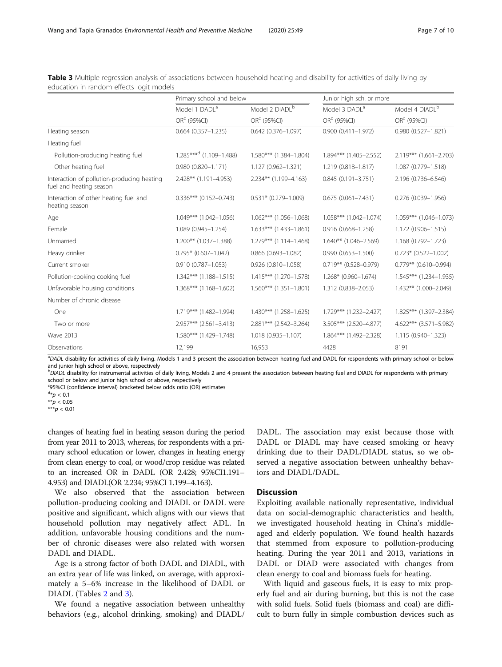|                                                                       | Primary school and below                             |                                                       | Junior high sch. or more                             |                                                       |
|-----------------------------------------------------------------------|------------------------------------------------------|-------------------------------------------------------|------------------------------------------------------|-------------------------------------------------------|
|                                                                       | Model 1 DADL <sup>a</sup><br>OR <sup>c</sup> (95%Cl) | Model 2 DIADL <sup>b</sup><br>OR <sup>c</sup> (95%Cl) | Model 3 DADL <sup>a</sup><br>OR <sup>c</sup> (95%Cl) | Model 4 DIADL <sup>b</sup><br>OR <sup>c</sup> (95%Cl) |
|                                                                       |                                                      |                                                       |                                                      |                                                       |
| Heating season                                                        | $0.664$ $(0.357 - 1.235)$                            | $0.642$ (0.376-1.097)                                 | $0.900(0.411 - 1.972)$                               | $0.980(0.527 - 1.821)$                                |
| Heating fuel                                                          |                                                      |                                                       |                                                      |                                                       |
| Pollution-producing heating fuel                                      | $1.285***^d$ (1.109-1.488)                           | $1.580***$ (1.384-1.804)                              | 1.894*** (1.405-2.552)                               | $2.119***$ (1.661-2.703)                              |
| Other heating fuel                                                    | $0.980(0.820 - 1.171)$                               | 1.127 (0.962-1.321)                                   | 1.219 (0.818-1.817)                                  | 1.087 (0.779-1.518)                                   |
| Interaction of pollution-producing heating<br>fuel and heating season | 2.428** (1.191-4.953)                                | 2.234** (1.199-4.163)                                 | $0.845(0.191 - 3.751)$                               | 2.196 (0.736-6.546)                                   |
| Interaction of other heating fuel and<br>heating season               | $0.336***$ (0.152-0.743)                             | $0.531*$ (0.279-1.009)                                | $0.675(0.061 - 7.431)$                               | $0.276$ (0.039-1.956)                                 |
| Age                                                                   | $1.049***$ $(1.042-1.056)$                           | $1.062***$ $(1.056-1.068)$                            | $1.058***$ $(1.042-1.074)$                           | $1.059***$ (1.046-1.073)                              |
| Female                                                                | 1.089 (0.945-1.254)                                  | $1.633***$ $(1.433-1.861)$                            | $0.916(0.668 - 1.258)$                               | 1.172 (0.906-1.515)                                   |
| Unmarried                                                             | $1.200***$ (1.037-1.388)                             | $1.279***$ (1.114-1.468)                              | $1.640**$ (1.046-2.569)                              | 1.168 (0.792-1.723)                                   |
| Heavy drinker                                                         | $0.795*$ (0.607-1.042)                               | $0.866$ (0.693-1.082)                                 | $0.990(0.653 - 1.500)$                               | $0.723*$ (0.522-1.002)                                |
| Current smoker                                                        | $0.910(0.787 - 1.053)$                               | $0.926(0.810 - 1.058)$                                | $0.719***$ (0.528-0.979)                             | $0.779**$ (0.610-0.994)                               |
| Pollution-cooking cooking fuel                                        | $1.342***$ (1.188-1.515)                             | $1.415***$ (1.270-1.578)                              | 1.268* (0.960-1.674)                                 | $1.545***$ (1.234-1.935)                              |
| Unfavorable housing conditions                                        | $1.368***$ (1.168-1.602)                             | $1.560***$ $(1.351-1.801)$                            | 1.312 (0.838-2.053)                                  | $1.432**$ (1.000-2.049)                               |
| Number of chronic disease                                             |                                                      |                                                       |                                                      |                                                       |
| One                                                                   | 1.719*** (1.482-1.994)                               | $1.430***$ (1.258-1.625)                              | 1.729*** (1.232-2.427)                               | 1.825*** (1.397-2.384)                                |
| Two or more                                                           | $2.957***$ (2.561-3.413)                             | $2.881***$ (2.542-3.264)                              | 3.505*** (2.520-4.877)                               | 4.622*** (3.571-5.982)                                |
| <b>Wave 2013</b>                                                      | 1.580*** (1.429-1.748)                               | 1.018 (0.935-1.107)                                   | 1.864*** (1.492-2.328)                               | 1.115 (0.940-1.323)                                   |
| Observations                                                          | 12,199                                               | 16,953                                                | 4428                                                 | 8191                                                  |

<span id="page-6-0"></span>Table 3 Multiple regression analysis of associations between household heating and disability for activities of daily living by education in random effects logit models

<sup>a</sup>DADL disability for activities of daily living. Models 1 and 3 present the association between heating fuel and DADL for respondents with primary school or below and junior high school or above, respectively

**DDIADL disability for instrumental activities of daily living. Models 2 and 4 present the association between heating fuel and DIADL for respondents with primary** school or below and junior high school or above, respectively

<sup>c</sup>95%CI (confidence interval) bracketed below odds ratio (OR) estimates

 $\mathrm{^{d*}p} < 0.1$ 

 $* p < 0.05$ 

\*\*\* $p < 0.01$ 

changes of heating fuel in heating season during the period from year 2011 to 2013, whereas, for respondents with a primary school education or lower, changes in heating energy from clean energy to coal, or wood/crop residue was related to an increased OR in DADL (OR 2.428; 95%CI1.191– 4.953) and DIADL(OR 2.234; 95%CI 1.199–4.163).

We also observed that the association between pollution-producing cooking and DIADL or DADL were positive and significant, which aligns with our views that household pollution may negatively affect ADL. In addition, unfavorable housing conditions and the number of chronic diseases were also related with worsen DADL and DIADL.

Age is a strong factor of both DADL and DIADL, with an extra year of life was linked, on average, with approximately a 5–6% increase in the likelihood of DADL or DIADL (Tables [2](#page-5-0) and 3).

We found a negative association between unhealthy behaviors (e.g., alcohol drinking, smoking) and DIADL/ DADL. The association may exist because those with DADL or DIADL may have ceased smoking or heavy drinking due to their DADL/DIADL status, so we observed a negative association between unhealthy behaviors and DIADL/DADL.

# **Discussion**

Exploiting available nationally representative, individual data on social-demographic characteristics and health, we investigated household heating in China's middleaged and elderly population. We found health hazards that stemmed from exposure to pollution-producing heating. During the year 2011 and 2013, variations in DADL or DIAD were associated with changes from clean energy to coal and biomass fuels for heating.

With liquid and gaseous fuels, it is easy to mix properly fuel and air during burning, but this is not the case with solid fuels. Solid fuels (biomass and coal) are difficult to burn fully in simple combustion devices such as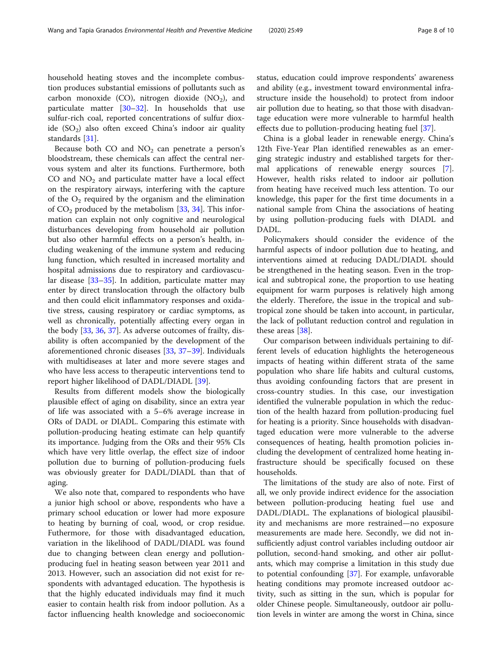standards [[31\]](#page-9-0). Because both CO and  $NO<sub>2</sub>$  can penetrate a person's bloodstream, these chemicals can affect the central nervous system and alter its functions. Furthermore, both CO and  $NO<sub>2</sub>$  and particulate matter have a local effect on the respiratory airways, interfering with the capture of the  $O_2$  required by the organism and the elimination of  $CO<sub>2</sub>$  produced by the metabolism [[33,](#page-9-0) [34\]](#page-9-0). This information can explain not only cognitive and neurological disturbances developing from household air pollution but also other harmful effects on a person's health, including weakening of the immune system and reducing lung function, which resulted in increased mortality and hospital admissions due to respiratory and cardiovascular disease [\[33](#page-9-0)–[35\]](#page-9-0). In addition, particulate matter may enter by direct translocation through the olfactory bulb and then could elicit inflammatory responses and oxidative stress, causing respiratory or cardiac symptoms, as well as chronically, potentially affecting every organ in the body [\[33](#page-9-0), [36](#page-9-0), [37](#page-9-0)]. As adverse outcomes of frailty, disability is often accompanied by the development of the aforementioned chronic diseases [[33,](#page-9-0) [37](#page-9-0)–[39](#page-9-0)]. Individuals with multidiseases at later and more severe stages and who have less access to therapeutic interventions tend to report higher likelihood of DADL/DIADL [\[39](#page-9-0)].

Results from different models show the biologically plausible effect of aging on disability, since an extra year of life was associated with a 5–6% average increase in ORs of DADL or DIADL. Comparing this estimate with pollution-producing heating estimate can help quantify its importance. Judging from the ORs and their 95% CIs which have very little overlap, the effect size of indoor pollution due to burning of pollution-producing fuels was obviously greater for DADL/DIADL than that of aging.

We also note that, compared to respondents who have a junior high school or above, respondents who have a primary school education or lower had more exposure to heating by burning of coal, wood, or crop residue. Futhermore, for those with disadvantaged education, variation in the likelihood of DADL/DIADL was found due to changing between clean energy and pollutionproducing fuel in heating season between year 2011 and 2013. However, such an association did not exist for respondents with advantaged education. The hypothesis is that the highly educated individuals may find it much easier to contain health risk from indoor pollution. As a factor influencing health knowledge and socioeconomic status, education could improve respondents' awareness and ability (e.g., investment toward environmental infrastructure inside the household) to protect from indoor air pollution due to heating, so that those with disadvantage education were more vulnerable to harmful health effects due to pollution-producing heating fuel [[37\]](#page-9-0).

China is a global leader in renewable energy. China's 12th Five-Year Plan identified renewables as an emerging strategic industry and established targets for thermal applications of renewable energy sources [\[7](#page-8-0)]. However, health risks related to indoor air pollution from heating have received much less attention. To our knowledge, this paper for the first time documents in a national sample from China the associations of heating by using pollution-producing fuels with DIADL and DADL.

Policymakers should consider the evidence of the harmful aspects of indoor pollution due to heating, and interventions aimed at reducing DADL/DIADL should be strengthened in the heating season. Even in the tropical and subtropical zone, the proportion to use heating equipment for warm purposes is relatively high among the elderly. Therefore, the issue in the tropical and subtropical zone should be taken into account, in particular, the lack of pollutant reduction control and regulation in these areas [[38](#page-9-0)].

Our comparison between individuals pertaining to different levels of education highlights the heterogeneous impacts of heating within different strata of the same population who share life habits and cultural customs, thus avoiding confounding factors that are present in cross-country studies. In this case, our investigation identified the vulnerable population in which the reduction of the health hazard from pollution-producing fuel for heating is a priority. Since households with disadvantaged education were more vulnerable to the adverse consequences of heating, health promotion policies including the development of centralized home heating infrastructure should be specifically focused on these households.

The limitations of the study are also of note. First of all, we only provide indirect evidence for the association between pollution-producing heating fuel use and DADL/DIADL. The explanations of biological plausibility and mechanisms are more restrained—no exposure measurements are made here. Secondly, we did not insufficiently adjust control variables including outdoor air pollution, second-hand smoking, and other air pollutants, which may comprise a limitation in this study due to potential confounding [[37\]](#page-9-0). For example, unfavorable heating conditions may promote increased outdoor activity, such as sitting in the sun, which is popular for older Chinese people. Simultaneously, outdoor air pollution levels in winter are among the worst in China, since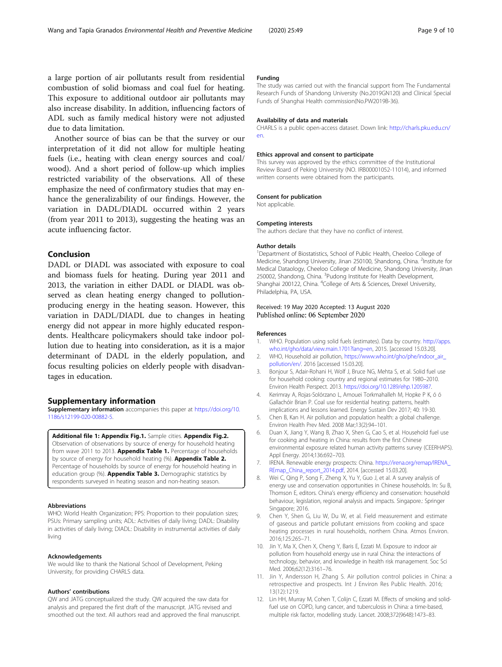<span id="page-8-0"></span>a large portion of air pollutants result from residential combustion of solid biomass and coal fuel for heating. This exposure to additional outdoor air pollutants may also increase disability. In addition, influencing factors of ADL such as family medical history were not adjusted due to data limitation.

Another source of bias can be that the survey or our interpretation of it did not allow for multiple heating fuels (i.e., heating with clean energy sources and coal/ wood). And a short period of follow-up which implies restricted variability of the observations. All of these emphasize the need of confirmatory studies that may enhance the generalizability of our findings. However, the variation in DADL/DIADL occurred within 2 years (from year 2011 to 2013), suggesting the heating was an acute influencing factor.

# Conclusion

DADL or DIADL was associated with exposure to coal and biomass fuels for heating. During year 2011 and 2013, the variation in either DADL or DIADL was observed as clean heating energy changed to pollutionproducing energy in the heating season. However, this variation in DADL/DIADL due to changes in heating energy did not appear in more highly educated respondents. Healthcare policymakers should take indoor pollution due to heating into consideration, as it is a major determinant of DADL in the elderly population, and focus resulting policies on elderly people with disadvantages in education.

### Supplementary information

Supplementary information accompanies this paper at [https://doi.org/10.](https://doi.org/10.1186/s12199-020-00882-5) [1186/s12199-020-00882-5](https://doi.org/10.1186/s12199-020-00882-5).

Additional file 1: Appendix Fig.1. Sample cities. Appendix Fig.2. Observation of observations by source of energy for household heating from wave 2011 to 2013. Appendix Table 1. Percentage of households by source of energy for household heating (%). Appendix Table 2. Percentage of households by source of energy for household heating in education group (%). Appendix Table 3. Demographic statistics by respondents surveyed in heating season and non-heating season.

### Abbreviations

WHO: World Health Organization; PPS: Proportion to their population sizes; PSUs: Primary sampling units; ADL: Activities of daily living; DADL: Disability in activities of daily living; DIADL: Disability in instrumental activities of daily living

#### Acknowledgements

We would like to thank the National School of Development, Peking University, for providing CHARLS data.

#### Authors' contributions

QW and JATG conceptualized the study. QW acquired the raw data for analysis and prepared the first draft of the manuscript. JATG revised and smoothed out the text. All authors read and approved the final manuscript.

### Funding

The study was carried out with the financial support from The Fundamental Research Funds of Shandong University (No.2019GN120) and Clinical Special Funds of Shanghai Health commission(No.PW2019B-36).

#### Availability of data and materials

CHARLS is a public open-access dataset. Down link: [http://charls.pku.edu.cn/](http://charls.pku.edu.cn/en) [en](http://charls.pku.edu.cn/en).

#### Ethics approval and consent to participate

This survey was approved by the ethics committee of the Institutional Review Board of Peking University (NO. IRB00001052-11014), and informed written consents were obtained from the participants.

#### Consent for publication

Not applicable.

### Competing interests

The authors declare that they have no conflict of interest.

#### Author details

<sup>1</sup>Department of Biostatistics, School of Public Health, Cheeloo College of Medicine, Shandong University, Jinan 250100, Shandong, China. <sup>2</sup>Institute for Medical Dataology, Cheeloo College of Medicine, Shandong University, Jinan 250002, Shandong, China. <sup>3</sup>Pudong Institute for Health Development, Shanghai 200122, China. <sup>4</sup>College of Arts & Sciences, Drexel University Philadelphia, PA, USA.

### Received: 19 May 2020 Accepted: 13 August 2020 Published online: 06 September 2020

#### References

- 1. WHO. Population using solid fuels (estimates). Data by country. [http://apps.](http://apps.who.int/gho/data/view.main.1701?lang=en) [who.int/gho/data/view.main.1701?lang=en](http://apps.who.int/gho/data/view.main.1701?lang=en), 2015. [accessed 15.03.20].
- 2. WHO, Household air pollution, [https://www.who.int/gho/phe/indoor\\_air\\_](https://www.who.int/gho/phe/indoor_air_pollution/en/) [pollution/en/](https://www.who.int/gho/phe/indoor_air_pollution/en/). 2016 [accessed 15.03.20].
- 3. Bonjour S, Adair-Rohani H, Wolf J, Bruce NG, Mehta S, et al. Solid fuel use for household cooking: country and regional estimates for 1980–2010. Environ Health Perspect. 2013. [https://doi.org/10.1289/ehp.1205987.](https://doi.org/10.1289/ehp.1205987)
- 4. Kerimray A, Rojas-Solórzano L, Amouei Torkmahalleh M, Hopke P K, ó ó Gallachóir Brian P. Coal use for residential heating: patterns, health implications and lessons learned. Energy Sustain Dev 2017; 40: 19-30.
- 5. Chen B, Kan H. Air pollution and population health: a global challenge. Environ Health Prev Med. 2008 Mar;13(2):94–101.
- 6. Duan X, Jiang Y, Wang B, Zhao X, Shen G, Cao S, et al. Household fuel use for cooking and heating in China: results from the first Chinese environmental exposure related human activity patterns survey (CEERHAPS). Appl Energy. 2014;136:692–703.
- 7. IRENA. Renewable energy prospects: China. [https://irena.org/remap/IRENA\\_](https://irena.org/remap/IRENA_REmap_China_report_2014.pdf) [REmap\\_China\\_report\\_2014.pdf](https://irena.org/remap/IRENA_REmap_China_report_2014.pdf), 2014. [accessed 15.03.20].
- 8. Wei C, Qing P, Song F, Zheng X, Yu Y, Guo J, et al. A survey analysis of energy use and conservation opportunities in Chinese households. In: Su B, Thomson E, editors. China's energy efficiency and conservation: household behaviour, legislation, regional analysis and impacts. Singapore.: Springer Singapore; 2016.
- 9. Chen Y, Shen G, Liu W, Du W, et al. Field measurement and estimate of gaseous and particle pollutant emissions from cooking and space heating processes in rural households, northern China. Atmos Environ. 2016;125:265–71.
- 10. Jin Y, Ma X, Chen X, Cheng Y, Baris E, Ezzati M. Exposure to indoor air pollution from household energy use in rural China: the interactions of technology, behavior, and knowledge in health risk management. Soc Sci Med. 2006;62(12):3161–76.
- 11. Jin Y, Andersson H, Zhang S. Air pollution control policies in China: a retrospective and prospects. Int J Environ Res Public Health. 2016; 13(12):1219.
- 12. Lin HH, Murray M, Cohen T, Colijn C, Ezzati M. Effects of smoking and solidfuel use on COPD, lung cancer, and tuberculosis in China: a time-based, multiple risk factor, modelling study. Lancet. 2008;372(9648):1473–83.